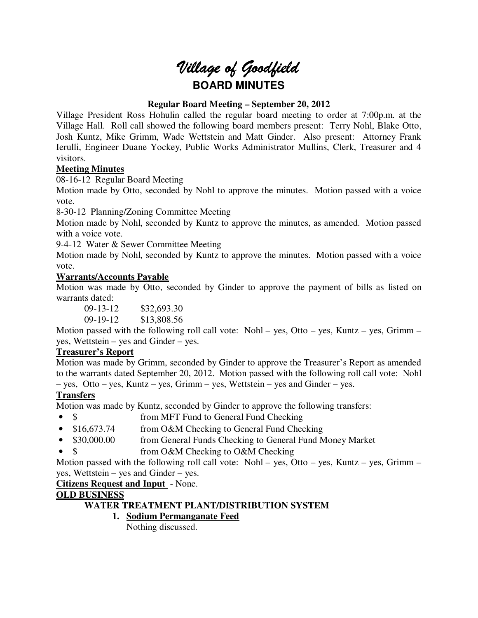# *Village of Goodfield* **BOARD MINUTES**

## **Regular Board Meeting – September 20, 2012**

Village President Ross Hohulin called the regular board meeting to order at 7:00p.m. at the Village Hall. Roll call showed the following board members present: Terry Nohl, Blake Otto, Josh Kuntz, Mike Grimm, Wade Wettstein and Matt Ginder. Also present: Attorney Frank Ierulli, Engineer Duane Yockey, Public Works Administrator Mullins, Clerk, Treasurer and 4 visitors.

## **Meeting Minutes**

08-16-12 Regular Board Meeting

Motion made by Otto, seconded by Nohl to approve the minutes. Motion passed with a voice vote.

8-30-12 Planning/Zoning Committee Meeting

Motion made by Nohl, seconded by Kuntz to approve the minutes, as amended. Motion passed with a voice vote.

9-4-12 Water & Sewer Committee Meeting

Motion made by Nohl, seconded by Kuntz to approve the minutes. Motion passed with a voice vote.

#### **Warrants/Accounts Payable**

Motion was made by Otto, seconded by Ginder to approve the payment of bills as listed on warrants dated:

09-13-12 \$32,693.30 09-19-12 \$13,808.56

Motion passed with the following roll call vote: Nohl – yes, Otto – yes, Kuntz – yes, Grimm – yes, Wettstein – yes and Ginder – yes.

#### **Treasurer's Report**

Motion was made by Grimm, seconded by Ginder to approve the Treasurer's Report as amended to the warrants dated September 20, 2012. Motion passed with the following roll call vote: Nohl – yes, Otto – yes, Kuntz – yes, Grimm – yes, Wettstein – yes and Ginder – yes.

# **Transfers**

Motion was made by Kuntz, seconded by Ginder to approve the following transfers:

- \$ from MFT Fund to General Fund Checking
- \$16,673.74 from O&M Checking to General Fund Checking
- \$30,000.00 from General Funds Checking to General Fund Money Market
- \$ from O&M Checking to O&M Checking

Motion passed with the following roll call vote: Nohl – yes, Otto – yes, Kuntz – yes, Grimm – yes, Wettstein – yes and Ginder – yes.

**Citizens Request and Input** - None.

# **OLD BUSINESS**

#### **WATER TREATMENT PLANT/DISTRIBUTION SYSTEM**

**1. Sodium Permanganate Feed** 

Nothing discussed.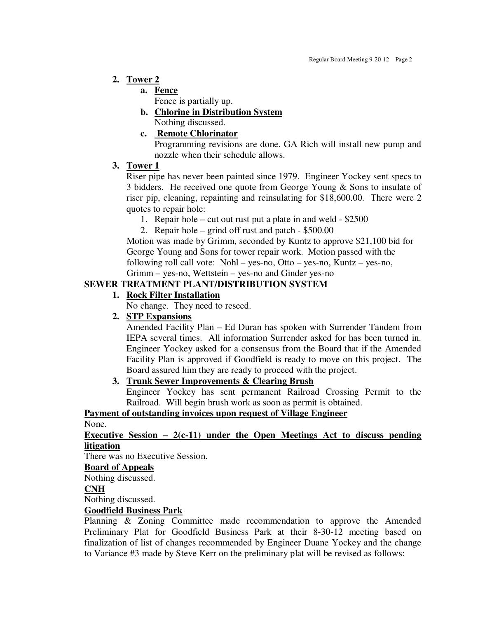## **2. Tower 2**

# **a. Fence**

Fence is partially up.

#### **b. Chlorine in Distribution System**  Nothing discussed.

## **c. Remote Chlorinator**

Programming revisions are done. GA Rich will install new pump and nozzle when their schedule allows.

## **3. Tower 1**

Riser pipe has never been painted since 1979. Engineer Yockey sent specs to 3 bidders. He received one quote from George Young & Sons to insulate of riser pip, cleaning, repainting and reinsulating for \$18,600.00. There were 2 quotes to repair hole:

- 1. Repair hole cut out rust put a plate in and weld \$2500
- 2. Repair hole grind off rust and patch \$500.00

 Motion was made by Grimm, seconded by Kuntz to approve \$21,100 bid for George Young and Sons for tower repair work. Motion passed with the following roll call vote: Nohl – yes-no, Otto – yes-no, Kuntz – yes-no, Grimm – yes-no, Wettstein – yes-no and Ginder yes-no

# **SEWER TREATMENT PLANT/DISTRIBUTION SYSTEM**

## **1. Rock Filter Installation**

No change. They need to reseed.

# **2. STP Expansions**

Amended Facility Plan – Ed Duran has spoken with Surrender Tandem from IEPA several times. All information Surrender asked for has been turned in. Engineer Yockey asked for a consensus from the Board that if the Amended Facility Plan is approved if Goodfield is ready to move on this project. The Board assured him they are ready to proceed with the project.

# **3. Trunk Sewer Improvements & Clearing Brush**

Engineer Yockey has sent permanent Railroad Crossing Permit to the Railroad. Will begin brush work as soon as permit is obtained.

# **Payment of outstanding invoices upon request of Village Engineer**

## None.

## **Executive Session – 2(c-11) under the Open Meetings Act to discuss pending litigation**

There was no Executive Session.

#### **Board of Appeals**

Nothing discussed.

# **CNH**

Nothing discussed.

# **Goodfield Business Park**

Planning & Zoning Committee made recommendation to approve the Amended Preliminary Plat for Goodfield Business Park at their 8-30-12 meeting based on finalization of list of changes recommended by Engineer Duane Yockey and the change to Variance #3 made by Steve Kerr on the preliminary plat will be revised as follows: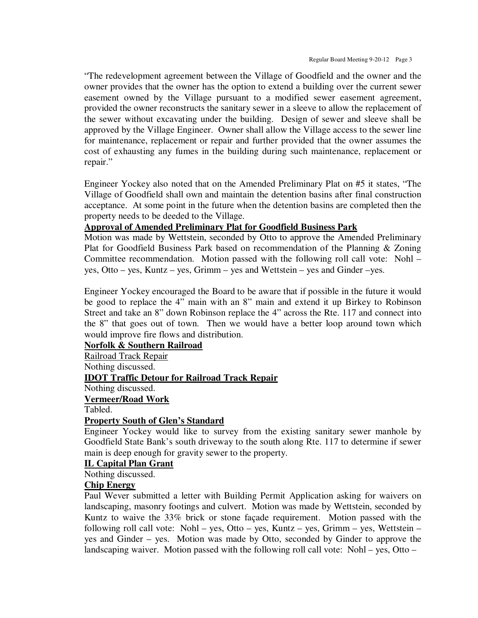"The redevelopment agreement between the Village of Goodfield and the owner and the owner provides that the owner has the option to extend a building over the current sewer easement owned by the Village pursuant to a modified sewer easement agreement, provided the owner reconstructs the sanitary sewer in a sleeve to allow the replacement of the sewer without excavating under the building. Design of sewer and sleeve shall be approved by the Village Engineer. Owner shall allow the Village access to the sewer line for maintenance, replacement or repair and further provided that the owner assumes the cost of exhausting any fumes in the building during such maintenance, replacement or repair."

Engineer Yockey also noted that on the Amended Preliminary Plat on #5 it states, "The Village of Goodfield shall own and maintain the detention basins after final construction acceptance. At some point in the future when the detention basins are completed then the property needs to be deeded to the Village.

## **Approval of Amended Preliminary Plat for Goodfield Business Park**

Motion was made by Wettstein, seconded by Otto to approve the Amended Preliminary Plat for Goodfield Business Park based on recommendation of the Planning & Zoning Committee recommendation. Motion passed with the following roll call vote: Nohl – yes, Otto – yes, Kuntz – yes, Grimm – yes and Wettstein – yes and Ginder –yes.

Engineer Yockey encouraged the Board to be aware that if possible in the future it would be good to replace the 4" main with an 8" main and extend it up Birkey to Robinson Street and take an 8" down Robinson replace the 4" across the Rte. 117 and connect into the 8" that goes out of town. Then we would have a better loop around town which would improve fire flows and distribution.

**Norfolk & Southern Railroad**  Railroad Track Repair Nothing discussed. **IDOT Traffic Detour for Railroad Track Repair**  Nothing discussed. **Vermeer/Road Work**  Tabled.

#### **Property South of Glen's Standard**

Engineer Yockey would like to survey from the existing sanitary sewer manhole by Goodfield State Bank's south driveway to the south along Rte. 117 to determine if sewer main is deep enough for gravity sewer to the property.

## **IL Capital Plan Grant**

Nothing discussed.

## **Chip Energy**

Paul Wever submitted a letter with Building Permit Application asking for waivers on landscaping, masonry footings and culvert. Motion was made by Wettstein, seconded by Kuntz to waive the 33% brick or stone façade requirement. Motion passed with the following roll call vote: Nohl – yes, Otto – yes, Kuntz – yes, Grimm – yes, Wettstein – yes and Ginder – yes. Motion was made by Otto, seconded by Ginder to approve the landscaping waiver. Motion passed with the following roll call vote: Nohl – yes, Otto –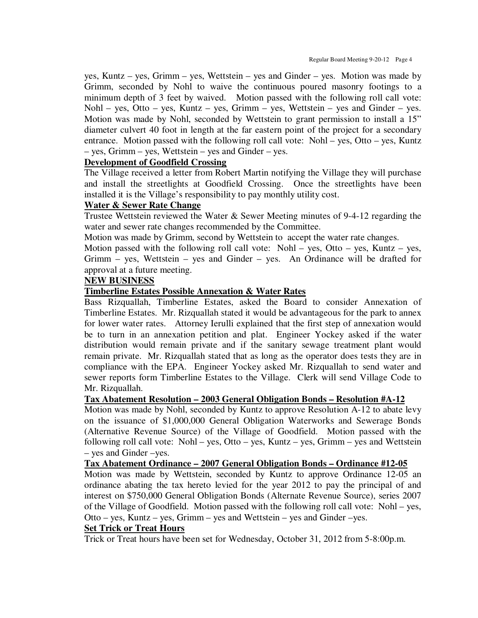yes, Kuntz – yes, Grimm – yes, Wettstein – yes and Ginder – yes. Motion was made by Grimm, seconded by Nohl to waive the continuous poured masonry footings to a minimum depth of 3 feet by waived. Motion passed with the following roll call vote: Nohl – yes, Otto – yes, Kuntz – yes, Grimm – yes, Wettstein – yes and Ginder – yes. Motion was made by Nohl, seconded by Wettstein to grant permission to install a 15" diameter culvert 40 foot in length at the far eastern point of the project for a secondary entrance. Motion passed with the following roll call vote: Nohl – yes, Otto – yes, Kuntz – yes, Grimm – yes, Wettstein – yes and Ginder – yes.

#### **Development of Goodfield Crossing**

The Village received a letter from Robert Martin notifying the Village they will purchase and install the streetlights at Goodfield Crossing. Once the streetlights have been installed it is the Village's responsibility to pay monthly utility cost.

#### **Water & Sewer Rate Change**

Trustee Wettstein reviewed the Water & Sewer Meeting minutes of 9-4-12 regarding the water and sewer rate changes recommended by the Committee.

Motion was made by Grimm, second by Wettstein to accept the water rate changes.

Motion passed with the following roll call vote: Nohl – yes, Otto – yes, Kuntz – yes, Grimm – yes, Wettstein – yes and Ginder – yes. An Ordinance will be drafted for approval at a future meeting.

#### **NEW BUSINESS**

#### **Timberline Estates Possible Annexation & Water Rates**

Bass Rizquallah, Timberline Estates, asked the Board to consider Annexation of Timberline Estates. Mr. Rizquallah stated it would be advantageous for the park to annex for lower water rates. Attorney Ierulli explained that the first step of annexation would be to turn in an annexation petition and plat. Engineer Yockey asked if the water distribution would remain private and if the sanitary sewage treatment plant would remain private. Mr. Rizquallah stated that as long as the operator does tests they are in compliance with the EPA. Engineer Yockey asked Mr. Rizquallah to send water and sewer reports form Timberline Estates to the Village. Clerk will send Village Code to Mr. Rizquallah.

#### **Tax Abatement Resolution – 2003 General Obligation Bonds – Resolution #A-12**

Motion was made by Nohl, seconded by Kuntz to approve Resolution A-12 to abate levy on the issuance of \$1,000,000 General Obligation Waterworks and Sewerage Bonds (Alternative Revenue Source) of the Village of Goodfield. Motion passed with the following roll call vote: Nohl – yes, Otto – yes, Kuntz – yes, Grimm – yes and Wettstein – yes and Ginder –yes.

#### **Tax Abatement Ordinance – 2007 General Obligation Bonds – Ordinance #12-05**

Motion was made by Wettstein, seconded by Kuntz to approve Ordinance 12-05 an ordinance abating the tax hereto levied for the year 2012 to pay the principal of and interest on \$750,000 General Obligation Bonds (Alternate Revenue Source), series 2007 of the Village of Goodfield. Motion passed with the following roll call vote: Nohl – yes, Otto – yes, Kuntz – yes, Grimm – yes and Wettstein – yes and Ginder –yes.

#### **Set Trick or Treat Hours**

Trick or Treat hours have been set for Wednesday, October 31, 2012 from 5-8:00p.m.